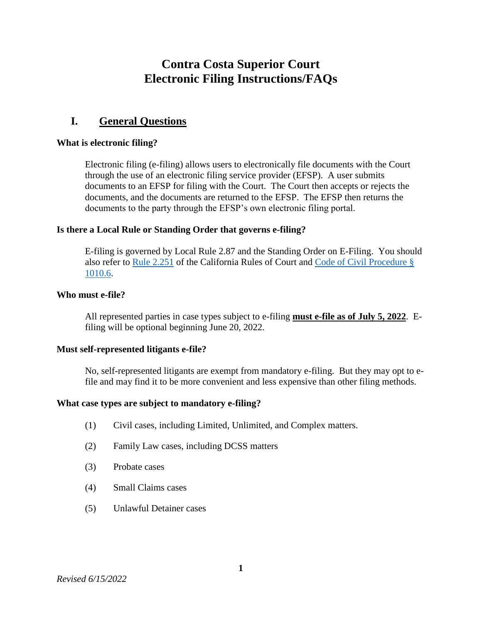# **Contra Costa Superior Court Electronic Filing Instructions/FAQs**

# **I. General Questions**

#### **What is electronic filing?**

Electronic filing (e-filing) allows users to electronically file documents with the Court through the use of an electronic filing service provider (EFSP). A user submits documents to an EFSP for filing with the Court. The Court then accepts or rejects the documents, and the documents are returned to the EFSP. The EFSP then returns the documents to the party through the EFSP's own electronic filing portal.

### **Is there a Local Rule or Standing Order that governs e-filing?**

E-filing is governed by Local Rule 2.87 and the Standing Order on E-Filing. You should also refer to [Rule 2.251](https://www.courts.ca.gov/cms/rules/index.cfm?title=two&linkid=rule2_251) of the California Rules of Court and [Code of Civil Procedure](https://leginfo.legislature.ca.gov/faces/codes_displaySection.xhtml?lawCode=CCP§ionNum=1010.6) § [1010.6.](https://leginfo.legislature.ca.gov/faces/codes_displaySection.xhtml?lawCode=CCP§ionNum=1010.6)

### **Who must e-file?**

All represented parties in case types subject to e-filing **must e-file as of July 5, 2022**. Efiling will be optional beginning June 20, 2022.

#### **Must self-represented litigants e-file?**

No, self-represented litigants are exempt from mandatory e-filing. But they may opt to efile and may find it to be more convenient and less expensive than other filing methods.

#### **What case types are subject to mandatory e-filing?**

- (1) Civil cases, including Limited, Unlimited, and Complex matters.
- (2) Family Law cases, including DCSS matters
- (3) Probate cases
- (4) Small Claims cases
- (5) Unlawful Detainer cases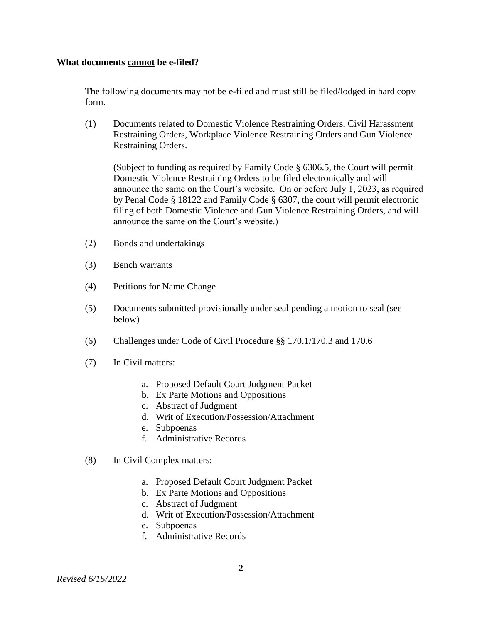#### **What documents cannot be e-filed?**

The following documents may not be e-filed and must still be filed/lodged in hard copy form.

(1) Documents related to Domestic Violence Restraining Orders, Civil Harassment Restraining Orders, Workplace Violence Restraining Orders and Gun Violence Restraining Orders.

(Subject to funding as required by Family Code § 6306.5, the Court will permit Domestic Violence Restraining Orders to be filed electronically and will announce the same on the Court's website. On or before July 1, 2023, as required by Penal Code § 18122 and Family Code § 6307, the court will permit electronic filing of both Domestic Violence and Gun Violence Restraining Orders, and will announce the same on the Court's website.)

- (2) Bonds and undertakings
- (3) Bench warrants
- (4) Petitions for Name Change
- (5) Documents submitted provisionally under seal pending a motion to seal (see below)
- (6) Challenges under Code of Civil Procedure §§ 170.1/170.3 and 170.6
- (7) In Civil matters:
	- a. Proposed Default Court Judgment Packet
	- b. Ex Parte Motions and Oppositions
	- c. Abstract of Judgment
	- d. Writ of Execution/Possession/Attachment
	- e. Subpoenas
	- f. Administrative Records
- (8) In Civil Complex matters:
	- a. Proposed Default Court Judgment Packet
	- b. Ex Parte Motions and Oppositions
	- c. Abstract of Judgment
	- d. Writ of Execution/Possession/Attachment
	- e. Subpoenas
	- f. Administrative Records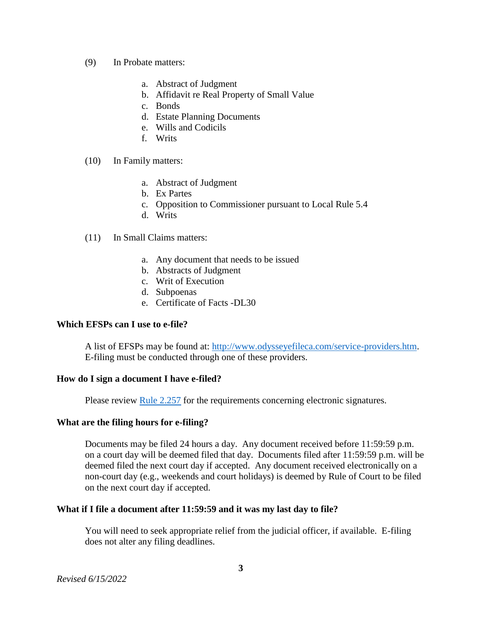- (9) In Probate matters:
	- a. Abstract of Judgment
	- b. Affidavit re Real Property of Small Value
	- c. Bonds
	- d. Estate Planning Documents
	- e. Wills and Codicils
	- f. Writs
- (10) In Family matters:
	- a. Abstract of Judgment
	- b. Ex Partes
	- c. Opposition to Commissioner pursuant to Local Rule 5.4
	- d. Writs
- (11) In Small Claims matters:
	- a. Any document that needs to be issued
	- b. Abstracts of Judgment
	- c. Writ of Execution
	- d. Subpoenas
	- e. Certificate of Facts -DL30

# **Which EFSPs can I use to e-file?**

A list of EFSPs may be found at: [http://www.odysseyefileca.com/service-providers.htm.](http://www.odysseyefileca.com/service-providers.htm) E-filing must be conducted through one of these providers.

#### **How do I sign a document I have e-filed?**

Please review [Rule 2.257](https://www.courts.ca.gov/cms/rules/index.cfm?title=two&linkid=rule2_257) for the requirements concerning electronic signatures.

# **What are the filing hours for e-filing?**

Documents may be filed 24 hours a day. Any document received before 11:59:59 p.m. on a court day will be deemed filed that day. Documents filed after 11:59:59 p.m. will be deemed filed the next court day if accepted. Any document received electronically on a non-court day (e.g., weekends and court holidays) is deemed by Rule of Court to be filed on the next court day if accepted.

# **What if I file a document after 11:59:59 and it was my last day to file?**

You will need to seek appropriate relief from the judicial officer, if available. E-filing does not alter any filing deadlines.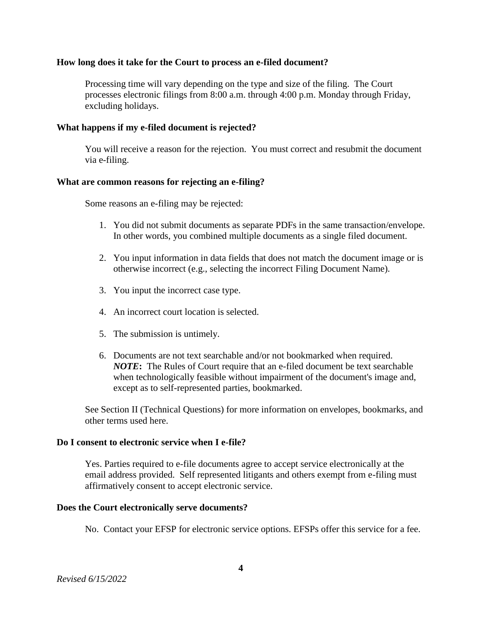#### **How long does it take for the Court to process an e-filed document?**

Processing time will vary depending on the type and size of the filing. The Court processes electronic filings from 8:00 a.m. through 4:00 p.m. Monday through Friday, excluding holidays.

### **What happens if my e-filed document is rejected?**

You will receive a reason for the rejection. You must correct and resubmit the document via e-filing.

### **What are common reasons for rejecting an e-filing?**

Some reasons an e-filing may be rejected:

- 1. You did not submit documents as separate PDFs in the same transaction/envelope. In other words, you combined multiple documents as a single filed document.
- 2. You input information in data fields that does not match the document image or is otherwise incorrect (e.g., selecting the incorrect Filing Document Name).
- 3. You input the incorrect case type.
- 4. An incorrect court location is selected.
- 5. The submission is untimely.
- 6. Documents are not text searchable and/or not bookmarked when required. *NOTE***:** The Rules of Court require that an e-filed document be text searchable when technologically feasible without impairment of the document's image and, except as to self-represented parties, bookmarked.

See Section II (Technical Questions) for more information on envelopes, bookmarks, and other terms used here.

#### **Do I consent to electronic service when I e-file?**

Yes. Parties required to e-file documents agree to accept service electronically at the email address provided. Self represented litigants and others exempt from e-filing must affirmatively consent to accept electronic service.

#### **Does the Court electronically serve documents?**

No. Contact your EFSP for electronic service options. EFSPs offer this service for a fee.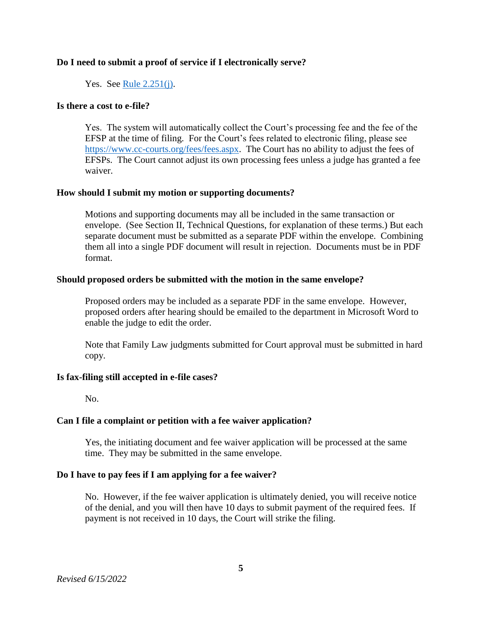### **Do I need to submit a proof of service if I electronically serve?**

### Yes. See [Rule 2.251\(j\).](https://www.courts.ca.gov/cms/rules/index.cfm?title=two&linkid=rule2_251)

#### **Is there a cost to e-file?**

Yes. The system will automatically collect the Court's processing fee and the fee of the EFSP at the time of filing. For the Court's fees related to electronic filing, please see [https://www.cc-courts.org/fees/fees.aspx.](https://www.cc-courts.org/fees/fees.aspx) The Court has no ability to adjust the fees of EFSPs. The Court cannot adjust its own processing fees unless a judge has granted a fee waiver.

### **How should I submit my motion or supporting documents?**

Motions and supporting documents may all be included in the same transaction or envelope. (See Section II, Technical Questions, for explanation of these terms.) But each separate document must be submitted as a separate PDF within the envelope. Combining them all into a single PDF document will result in rejection. Documents must be in PDF format.

#### **Should proposed orders be submitted with the motion in the same envelope?**

Proposed orders may be included as a separate PDF in the same envelope. However, proposed orders after hearing should be emailed to the department in Microsoft Word to enable the judge to edit the order.

Note that Family Law judgments submitted for Court approval must be submitted in hard copy.

### **Is fax-filing still accepted in e-file cases?**

No.

#### **Can I file a complaint or petition with a fee waiver application?**

Yes, the initiating document and fee waiver application will be processed at the same time. They may be submitted in the same envelope.

#### **Do I have to pay fees if I am applying for a fee waiver?**

No. However, if the fee waiver application is ultimately denied, you will receive notice of the denial, and you will then have 10 days to submit payment of the required fees. If payment is not received in 10 days, the Court will strike the filing.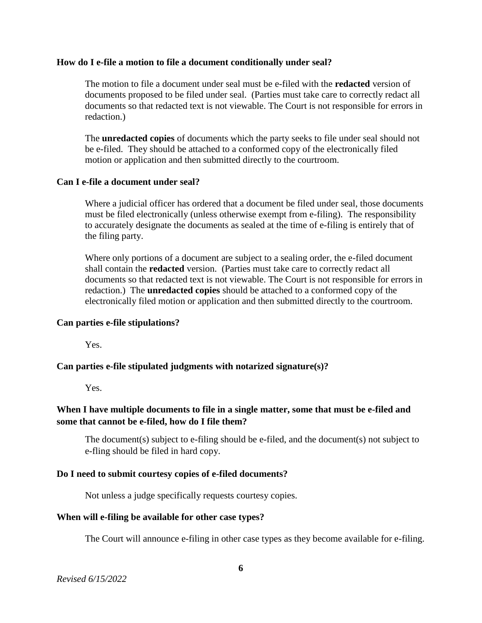#### **How do I e-file a motion to file a document conditionally under seal?**

The motion to file a document under seal must be e-filed with the **redacted** version of documents proposed to be filed under seal. (Parties must take care to correctly redact all documents so that redacted text is not viewable. The Court is not responsible for errors in redaction.)

The **unredacted copies** of documents which the party seeks to file under seal should not be e-filed. They should be attached to a conformed copy of the electronically filed motion or application and then submitted directly to the courtroom.

# **Can I e-file a document under seal?**

Where a judicial officer has ordered that a document be filed under seal, those documents must be filed electronically (unless otherwise exempt from e-filing). The responsibility to accurately designate the documents as sealed at the time of e-filing is entirely that of the filing party.

Where only portions of a document are subject to a sealing order, the e-filed document shall contain the **redacted** version. (Parties must take care to correctly redact all documents so that redacted text is not viewable. The Court is not responsible for errors in redaction.) The **unredacted copies** should be attached to a conformed copy of the electronically filed motion or application and then submitted directly to the courtroom.

# **Can parties e-file stipulations?**

Yes.

# **Can parties e-file stipulated judgments with notarized signature(s)?**

Yes.

# **When I have multiple documents to file in a single matter, some that must be e-filed and some that cannot be e-filed, how do I file them?**

The document(s) subject to e-filing should be e-filed, and the document(s) not subject to e-fling should be filed in hard copy.

# **Do I need to submit courtesy copies of e-filed documents?**

Not unless a judge specifically requests courtesy copies.

# **When will e-filing be available for other case types?**

The Court will announce e-filing in other case types as they become available for e-filing.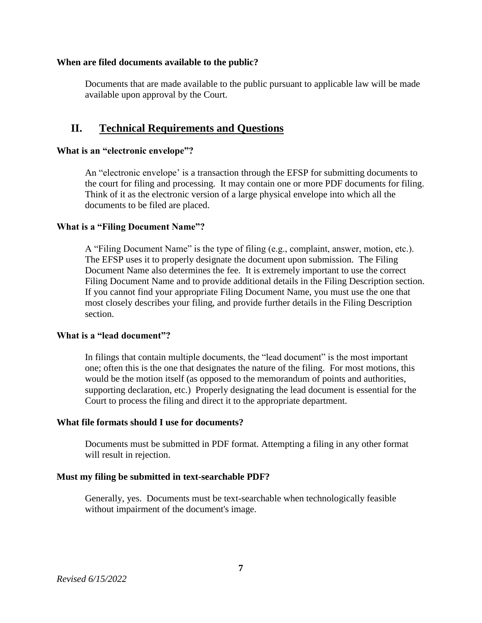### **When are filed documents available to the public?**

Documents that are made available to the public pursuant to applicable law will be made available upon approval by the Court.

# **II. Technical Requirements and Questions**

#### **What is an "electronic envelope"?**

An "electronic envelope' is a transaction through the EFSP for submitting documents to the court for filing and processing. It may contain one or more PDF documents for filing. Think of it as the electronic version of a large physical envelope into which all the documents to be filed are placed.

### **What is a "Filing Document Name"?**

A "Filing Document Name" is the type of filing (e.g., complaint, answer, motion, etc.). The EFSP uses it to properly designate the document upon submission. The Filing Document Name also determines the fee. It is extremely important to use the correct Filing Document Name and to provide additional details in the Filing Description section. If you cannot find your appropriate Filing Document Name, you must use the one that most closely describes your filing, and provide further details in the Filing Description section.

#### **What is a "lead document"?**

In filings that contain multiple documents, the "lead document" is the most important one; often this is the one that designates the nature of the filing. For most motions, this would be the motion itself (as opposed to the memorandum of points and authorities, supporting declaration, etc.) Properly designating the lead document is essential for the Court to process the filing and direct it to the appropriate department.

#### **What file formats should I use for documents?**

Documents must be submitted in PDF format. Attempting a filing in any other format will result in rejection.

# **Must my filing be submitted in text-searchable PDF?**

Generally, yes. Documents must be text-searchable when technologically feasible without impairment of the document's image.